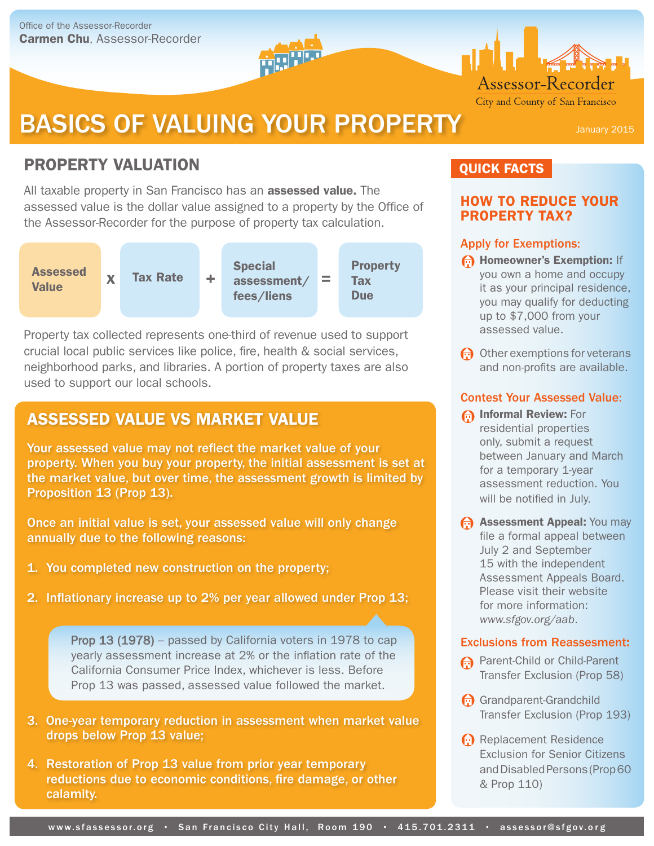# BASICS OF VALUING YOUR PROPERTY January 2015

# PROPERTY VALUATION

All taxable property in San Francisco has an **assessed value.** The assessed value is the dollar value assigned to a property by the Office of the Assessor-Recorder for the purpose of property tax calculation.



Property tax collected represents one-third of revenue used to support crucial local public services like police, fire, health & social services, neighborhood parks, and libraries. A portion of property taxes are also used to support our local schools.

## ASSESSED VALUE VS MARKET VALUE

Your assessed value may not reflect the market value of your property. When you buy your property, the initial assessment is set at the market value, but over time, the assessment growth is limited by Proposition 13 (Prop 13).

Once an initial value is set, your assessed value will only change annually due to the following reasons:

- 1. You completed new construction on the property;
- 2. Inflationary increase up to 2% per year allowed under Prop 13;

Prop 13 (1978) – passed by California voters in 1978 to cap yearly assessment increase at 2% or the inflation rate of the California Consumer Price Index, whichever is less. Before Prop 13 was passed, assessed value followed the market.

- 3. One-year temporary reduction in assessment when market value drops below Prop 13 value;
- 4. Restoration of Prop 13 value from prior year temporary reductions due to economic conditions, fire damage, or other calamity.

## QUICK FACTS

## HOW TO REDUCE YOUR PROPERTY TAX?

Assessor-Recorder City and County of San Francisco

## Apply for Exemptions:

- **Homeowner's Exemption: If** you own a home and occupy it as your principal residence, you may qualify for deducting up to \$7,000 from your assessed value.
- Other exemptions for veterans and non-profits are available.

## Contest Your Assessed Value:

- **A Informal Review: For** residential properties only, submit a request between January and March for a temporary 1-year assessment reduction. You will be notified in July.
- **Assessment Appeal: You may** file a formal appeal between July 2 and September 15 with the independent Assessment Appeals Board. Please visit their website for more information: *www.sfgov.org/aab*.

## Exclusions from Reassesment:

- **A** Parent-Child or Child-Parent Transfer Exclusion (Prop 58)
- Grandparent-Grandchild Transfer Exclusion (Prop 193)
- Replacement Residence Exclusion for Senior Citizens and Disabled Persons (Prop 60 & Prop 110)